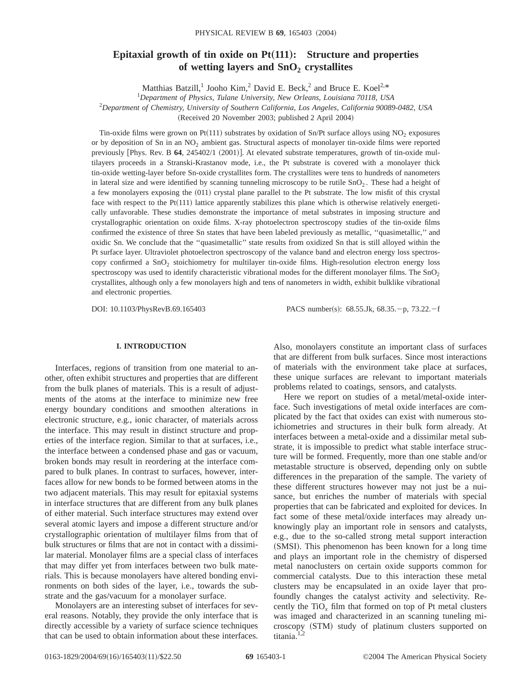# **Epitaxial growth of tin oxide on Pt**"**111**…**: Structure and properties** of wetting layers and SnO<sub>2</sub> crystallites

Matthias Batzill,<sup>1</sup> Jooho Kim,<sup>2</sup> David E. Beck,<sup>2</sup> and Bruce E. Koel<sup>2,\*</sup>

*Department of Physics, Tulane University, New Orleans, Louisiana 70118, USA*

2 *Department of Chemistry, University of Southern California, Los Angeles, California 90089-0482, USA*

(Received 20 November 2003; published 2 April 2004)

Tin-oxide films were grown on Pt $(111)$  substrates by oxidation of Sn/Pt surface alloys using NO<sub>2</sub> exposures or by deposition of Sn in an NO2 ambient gas. Structural aspects of monolayer tin-oxide films were reported previously [Phys. Rev. B 64, 245402/1 (2001)]. At elevated substrate temperatures, growth of tin-oxide multilayers proceeds in a Stranski-Krastanov mode, i.e., the Pt substrate is covered with a monolayer thick tin-oxide wetting-layer before Sn-oxide crystallites form. The crystallites were tens to hundreds of nanometers in lateral size and were identified by scanning tunneling microscopy to be rutile  $SnO<sub>2</sub>$ . These had a height of a few monolayers exposing the  $(011)$  crystal plane parallel to the Pt substrate. The low misfit of this crystal face with respect to the Pt $(111)$  lattice apparently stabilizes this plane which is otherwise relatively energetically unfavorable. These studies demonstrate the importance of metal substrates in imposing structure and crystallographic orientation on oxide films. X-ray photoelectron spectroscopy studies of the tin-oxide films confirmed the existence of three Sn states that have been labeled previously as metallic, ''quasimetallic,'' and oxidic Sn. We conclude that the ''quasimetallic'' state results from oxidized Sn that is still alloyed within the Pt surface layer. Ultraviolet photoelectron spectroscopy of the valance band and electron energy loss spectroscopy confirmed a SnO<sub>2</sub> stoichiometry for multilayer tin-oxide films. High-resolution electron energy loss spectroscopy was used to identify characteristic vibrational modes for the different monolayer films. The  $SnO<sub>2</sub>$ crystallites, although only a few monolayers high and tens of nanometers in width, exhibit bulklike vibrational and electronic properties.

DOI: 10.1103/PhysRevB.69.165403 PACS number(s): 68.55.Jk, 68.35.-p, 73.22.-f

## **I. INTRODUCTION**

Interfaces, regions of transition from one material to another, often exhibit structures and properties that are different from the bulk planes of materials. This is a result of adjustments of the atoms at the interface to minimize new free energy boundary conditions and smoothen alterations in electronic structure, e.g., ionic character, of materials across the interface. This may result in distinct structure and properties of the interface region. Similar to that at surfaces, i.e., the interface between a condensed phase and gas or vacuum, broken bonds may result in reordering at the interface compared to bulk planes. In contrast to surfaces, however, interfaces allow for new bonds to be formed between atoms in the two adjacent materials. This may result for epitaxial systems in interface structures that are different from any bulk planes of either material. Such interface structures may extend over several atomic layers and impose a different structure and/or crystallographic orientation of multilayer films from that of bulk structures or films that are not in contact with a dissimilar material. Monolayer films are a special class of interfaces that may differ yet from interfaces between two bulk materials. This is because monolayers have altered bonding environments on both sides of the layer, i.e., towards the substrate and the gas/vacuum for a monolayer surface.

Monolayers are an interesting subset of interfaces for several reasons. Notably, they provide the only interface that is directly accessible by a variety of surface science techniques that can be used to obtain information about these interfaces. Also, monolayers constitute an important class of surfaces that are different from bulk surfaces. Since most interactions of materials with the environment take place at surfaces, these unique surfaces are relevant to important materials problems related to coatings, sensors, and catalysts.

Here we report on studies of a metal/metal-oxide interface. Such investigations of metal oxide interfaces are complicated by the fact that oxides can exist with numerous stoichiometries and structures in their bulk form already. At interfaces between a metal-oxide and a dissimilar metal substrate, it is impossible to predict what stable interface structure will be formed. Frequently, more than one stable and/or metastable structure is observed, depending only on subtle differences in the preparation of the sample. The variety of these different structures however may not just be a nuisance, but enriches the number of materials with special properties that can be fabricated and exploited for devices. In fact some of these metal/oxide interfaces may already unknowingly play an important role in sensors and catalysts, e.g., due to the so-called strong metal support interaction (SMSI). This phenomenon has been known for a long time and plays an important role in the chemistry of dispersed metal nanoclusters on certain oxide supports common for commercial catalysts. Due to this interaction these metal clusters may be encapsulated in an oxide layer that profoundly changes the catalyst activity and selectivity. Recently the TiO*<sup>x</sup>* film that formed on top of Pt metal clusters was imaged and characterized in an scanning tuneling microscopy (STM) study of platinum clusters supported on titania.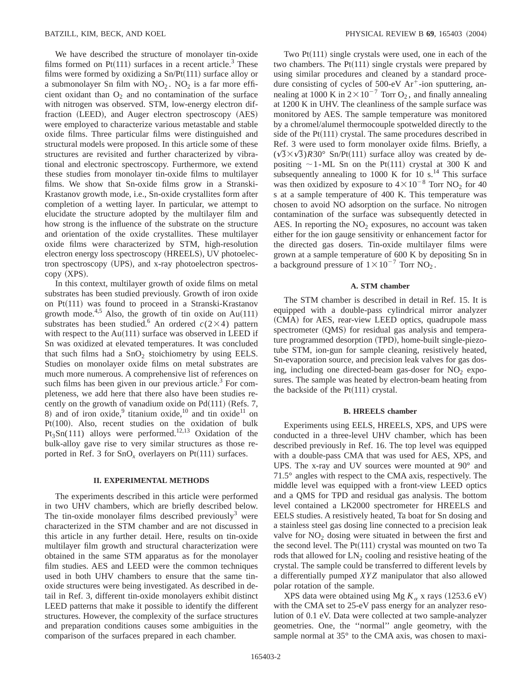We have described the structure of monolayer tin-oxide films formed on Pt $(111)$  surfaces in a recent article.<sup>3</sup> These films were formed by oxidizing a  $Sn/Pt(111)$  surface alloy or a submonolayer Sn film with  $NO<sub>2</sub>$ .  $NO<sub>2</sub>$  is a far more efficient oxidant than  $O_2$  and no contamination of the surface with nitrogen was observed. STM, low-energy electron diffraction (LEED), and Auger electron spectroscopy (AES) were employed to characterize various metastable and stable oxide films. Three particular films were distinguished and structural models were proposed. In this article some of these structures are revisited and further characterized by vibrational and electronic spectroscopy. Furthermore, we extend these studies from monolayer tin-oxide films to multilayer films. We show that Sn-oxide films grow in a Stranski-Krastanov growth mode, i.e., Sn-oxide crystallites form after completion of a wetting layer. In particular, we attempt to elucidate the structure adopted by the multilayer film and how strong is the influence of the substrate on the structure and orientation of the oxide crystallites. These multilayer oxide films were characterized by STM, high-resolution electron energy loss spectroscopy (HREELS), UV photoelectron spectroscopy (UPS), and x-ray photoelectron spectros $copy (XPS).$ 

In this context, multilayer growth of oxide films on metal substrates has been studied previously. Growth of iron oxide on  $Pt(111)$  was found to proceed in a Stranski-Krastanov growth mode.<sup>4,5</sup> Also, the growth of tin oxide on Au(111) substrates has been studied.<sup>6</sup> An ordered  $c(2\times4)$  pattern with respect to the Au $(111)$  surface was observed in LEED if Sn was oxidized at elevated temperatures. It was concluded that such films had a  $SnO<sub>2</sub>$  stoichiometry by using EELS. Studies on monolayer oxide films on metal substrates are much more numerous. A comprehensive list of references on such films has been given in our previous article.<sup>3</sup> For completeness, we add here that there also have been studies recently on the growth of vanadium oxide on  $Pd(111)$  (Refs. 7, 8) and of iron oxide,<sup>9</sup> titanium oxide,<sup>10</sup> and tin oxide<sup>11</sup> on Pt $(100)$ . Also, recent studies on the oxidation of bulk  $Pt<sub>3</sub>Sn(111)$  alloys were performed.<sup>12,13</sup> Oxidation of the bulk-alloy gave rise to very similar structures as those reported in Ref. 3 for  $SnO<sub>x</sub>$  overlayers on Pt(111) surfaces.

#### **II. EXPERIMENTAL METHODS**

The experiments described in this article were performed in two UHV chambers, which are briefly described below. The tin-oxide monolayer films described previously<sup>3</sup> were characterized in the STM chamber and are not discussed in this article in any further detail. Here, results on tin-oxide multilayer film growth and structural characterization were obtained in the same STM apparatus as for the monolayer film studies. AES and LEED were the common techniques used in both UHV chambers to ensure that the same tinoxide structures were being investigated. As described in detail in Ref. 3, different tin-oxide monolayers exhibit distinct LEED patterns that make it possible to identify the different structures. However, the complexity of the surface structures and preparation conditions causes some ambiguities in the comparison of the surfaces prepared in each chamber.

Two  $Pt(111)$  single crystals were used, one in each of the two chambers. The  $Pt(111)$  single crystals were prepared by using similar procedures and cleaned by a standard procedure consisting of cycles of  $500-eV$  Ar<sup>+</sup>-ion sputtering, annealing at 1000 K in  $2 \times 10^{-7}$  Torr O<sub>2</sub>, and finally annealing at 1200 K in UHV. The cleanliness of the sample surface was monitored by AES. The sample temperature was monitored by a chromel/alumel thermocouple spotwelded directly to the side of the  $Pt(111)$  crystal. The same procedures described in Ref. 3 were used to form monolayer oxide films. Briefly, a  $(\sqrt{3} \times \sqrt{3})$ *R*30° Sn/Pt(111) surface alloy was created by depositing  $\sim$  1-ML Sn on the Pt(111) crystal at 300 K and subsequently annealing to  $1000 \text{ K}$  for  $10 \text{ s}$ .<sup>14</sup> This surface was then oxidized by exposure to  $4 \times 10^{-8}$  Torr NO<sub>2</sub> for 40 s at a sample temperature of 400 K. This temperature was chosen to avoid NO adsorption on the surface. No nitrogen contamination of the surface was subsequently detected in AES. In reporting the  $NO<sub>2</sub>$  exposures, no account was taken either for the ion gauge sensitivity or enhancement factor for the directed gas dosers. Tin-oxide multilayer films were grown at a sample temperature of 600 K by depositing Sn in a background pressure of  $1 \times 10^{-7}$  Torr NO<sub>2</sub>.

### **A. STM chamber**

The STM chamber is described in detail in Ref. 15. It is equipped with a double-pass cylindrical mirror analyzer (CMA) for AES, rear-view LEED optics, quadrupole mass spectrometer (QMS) for residual gas analysis and temperature programmed desorption (TPD), home-built single-piezotube STM, ion-gun for sample cleaning, resistively heated, Sn-evaporation source, and precision leak valves for gas dosing, including one directed-beam gas-doser for  $NO<sub>2</sub>$  exposures. The sample was heated by electron-beam heating from the backside of the  $Pt(111)$  crystal.

#### **B. HREELS chamber**

Experiments using EELS, HREELS, XPS, and UPS were conducted in a three-level UHV chamber, which has been described previously in Ref. 16. The top level was equipped with a double-pass CMA that was used for AES, XPS, and UPS. The x-ray and UV sources were mounted at 90° and 71.5° angles with respect to the CMA axis, respectively. The middle level was equipped with a front-view LEED optics and a QMS for TPD and residual gas analysis. The bottom level contained a LK2000 spectrometer for HREELS and EELS studies. A resistively heated, Ta boat for Sn dosing and a stainless steel gas dosing line connected to a precision leak valve for  $NO<sub>2</sub>$  dosing were situated in between the first and the second level. The  $Pt(111)$  crystal was mounted on two Ta rods that allowed for  $LN_2$  cooling and resistive heating of the crystal. The sample could be transferred to different levels by a differentially pumped *XYZ* manipulator that also allowed polar rotation of the sample.

XPS data were obtained using Mg  $K_{\alpha}$  x rays (1253.6 eV) with the CMA set to 25-eV pass energy for an analyzer resolution of 0.1 eV. Data were collected at two sample-analyzer geometries. One, the ''normal'' angle geometry, with the sample normal at 35° to the CMA axis, was chosen to maxi-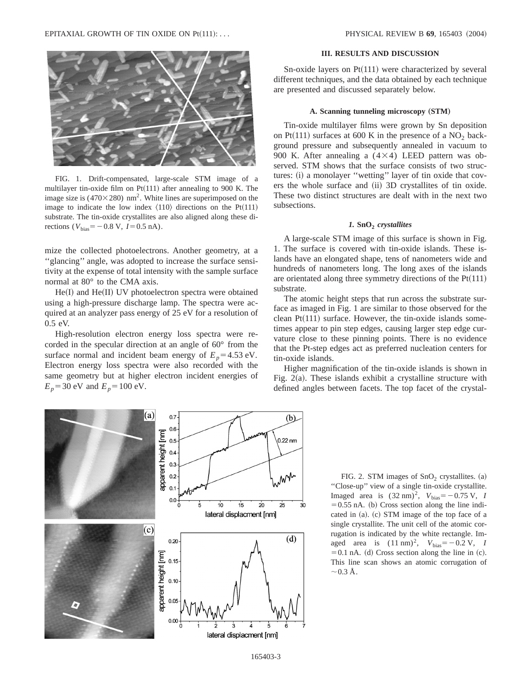

FIG. 1. Drift-compensated, large-scale STM image of a multilayer tin-oxide film on  $Pt(111)$  after annealing to 900 K. The image size is (470 $\times$ 280) nm<sup>2</sup>. White lines are superimposed on the image to indicate the low index  $\langle 110 \rangle$  directions on the Pt $(111)$ substrate. The tin-oxide crystallites are also aligned along these directions ( $V_{bias} = -0.8 \text{ V}$ ,  $I = 0.5 \text{ nA}$ ).

mize the collected photoelectrons. Another geometry, at a ''glancing'' angle, was adopted to increase the surface sensitivity at the expense of total intensity with the sample surface normal at 80° to the CMA axis.

 $He(I)$  and  $He(II)$  UV photoelectron spectra were obtained using a high-pressure discharge lamp. The spectra were acquired at an analyzer pass energy of 25 eV for a resolution of 0.5 eV.

High-resolution electron energy loss spectra were recorded in the specular direction at an angle of 60° from the surface normal and incident beam energy of  $E_p = 4.53$  eV. Electron energy loss spectra were also recorded with the same geometry but at higher electron incident energies of  $E_p$ =30 eV and  $E_p$ =100 eV.

### **III. RESULTS AND DISCUSSION**

Sn-oxide layers on  $Pt(111)$  were characterized by several different techniques, and the data obtained by each technique are presented and discussed separately below.

#### A. Scanning tunneling microscopy (STM)

Tin-oxide multilayer films were grown by Sn deposition on Pt $(111)$  surfaces at 600 K in the presence of a NO<sub>2</sub> background pressure and subsequently annealed in vacuum to 900 K. After annealing a  $(4\times4)$  LEED pattern was observed. STM shows that the surface consists of two structures: (i) a monolayer "wetting" layer of tin oxide that covers the whole surface and (ii) 3D crystallites of tin oxide. These two distinct structures are dealt with in the next two subsections.

### 1. SnO<sub>2</sub> *crystallites*

A large-scale STM image of this surface is shown in Fig. 1. The surface is covered with tin-oxide islands. These islands have an elongated shape, tens of nanometers wide and hundreds of nanometers long. The long axes of the islands are orientated along three symmetry directions of the  $Pt(111)$ substrate.

The atomic height steps that run across the substrate surface as imaged in Fig. 1 are similar to those observed for the clean  $Pt(111)$  surface. However, the tin-oxide islands sometimes appear to pin step edges, causing larger step edge curvature close to these pinning points. There is no evidence that the Pt-step edges act as preferred nucleation centers for tin-oxide islands.

Higher magnification of the tin-oxide islands is shown in Fig.  $2(a)$ . These islands exhibit a crystalline structure with defined angles between facets. The top facet of the crystal-



FIG. 2. STM images of  $SnO<sub>2</sub>$  crystallites. (a) ''Close-up'' view of a single tin-oxide crystallite. Imaged area is  $(32 \text{ nm})^2$ ,  $V_{bias} = -0.75 \text{ V}$ , *I*  $=0.55$  nA. (b) Cross section along the line indicated in  $(a)$ .  $(c)$  STM image of the top face of a single crystallite. The unit cell of the atomic corrugation is indicated by the white rectangle. Imaged area is  $(11 \text{ nm})^2$ ,  $V_{bias} = -0.2 \text{ V}$ , *I*  $=0.1$  nA. (d) Cross section along the line in (c). This line scan shows an atomic corrugation of  $\sim$  0.3 Å.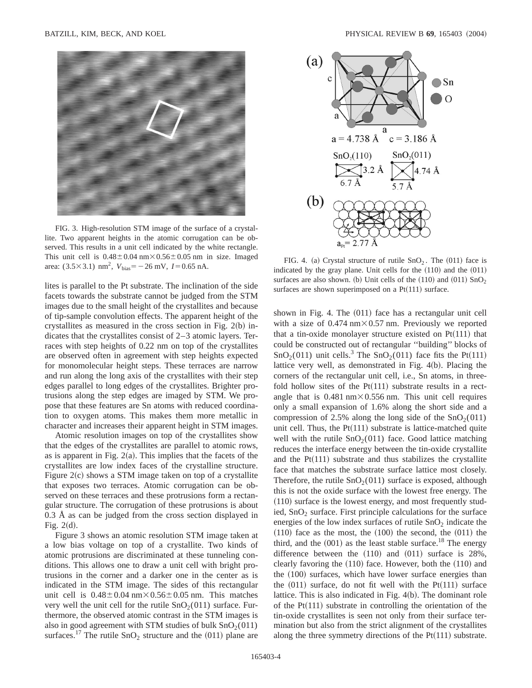

FIG. 3. High-resolution STM image of the surface of a crystallite. Two apparent heights in the atomic corrugation can be observed. This results in a unit cell indicated by the white rectangle. This unit cell is  $0.48 \pm 0.04$  nm $\times 0.56 \pm 0.05$  nm in size. Imaged area: (3.5×3.1) nm<sup>2</sup>,  $V_{bias} = -26$  mV,  $I = 0.65$  nA.

lites is parallel to the Pt substrate. The inclination of the side facets towards the substrate cannot be judged from the STM images due to the small height of the crystallites and because of tip-sample convolution effects. The apparent height of the crystallites as measured in the cross section in Fig.  $2(b)$  indicates that the crystallites consist of 2–3 atomic layers. Terraces with step heights of 0.22 nm on top of the crystallites are observed often in agreement with step heights expected for monomolecular height steps. These terraces are narrow and run along the long axis of the crystallites with their step edges parallel to long edges of the crystallites. Brighter protrusions along the step edges are imaged by STM. We propose that these features are Sn atoms with reduced coordination to oxygen atoms. This makes them more metallic in character and increases their apparent height in STM images.

Atomic resolution images on top of the crystallites show that the edges of the crystallites are parallel to atomic rows, as is apparent in Fig.  $2(a)$ . This implies that the facets of the crystallites are low index faces of the crystalline structure. Figure  $2(c)$  shows a STM image taken on top of a crystallite that exposes two terraces. Atomic corrugation can be observed on these terraces and these protrusions form a rectangular structure. The corrugation of these protrusions is about 0.3 Å as can be judged from the cross section displayed in Fig.  $2(d)$ .

Figure 3 shows an atomic resolution STM image taken at a low bias voltage on top of a crystallite. Two kinds of atomic protrusions are discriminated at these tunneling conditions. This allows one to draw a unit cell with bright protrusions in the corner and a darker one in the center as is indicated in the STM image. The sides of this rectangular unit cell is  $0.48 \pm 0.04$  nm $\times 0.56 \pm 0.05$  nm. This matches very well the unit cell for the rutile  $SnO<sub>2</sub>(011)$  surface. Furthermore, the observed atomic contrast in the STM images is also in good agreement with STM studies of bulk  $SnO<sub>2</sub>(011)$ surfaces.<sup>17</sup> The rutile  $SnO<sub>2</sub>$  structure and the (011) plane are



FIG. 4. (a) Crystal structure of rutile  $SnO<sub>2</sub>$ . The (011) face is indicated by the gray plane. Unit cells for the  $(110)$  and the  $(011)$ surfaces are also shown. (b) Unit cells of the  $(110)$  and  $(011)$  SnO<sub>2</sub> surfaces are shown superimposed on a  $Pt(111)$  surface.

shown in Fig. 4. The  $(011)$  face has a rectangular unit cell with a size of  $0.474 \text{ nm} \times 0.57 \text{ nm}$ . Previously we reported that a tin-oxide monolayer structure existed on  $Pt(111)$  that could be constructed out of rectangular ''building'' blocks of  $SnO<sub>2</sub>(011)$  unit cells.<sup>3</sup> The  $SnO<sub>2</sub>(011)$  face fits the Pt(111) lattice very well, as demonstrated in Fig.  $4(b)$ . Placing the corners of the rectangular unit cell, i.e., Sn atoms, in threefold hollow sites of the  $Pt(111)$  substrate results in a rectangle that is  $0.481 \text{ nm} \times 0.556 \text{ nm}$ . This unit cell requires only a small expansion of 1.6% along the short side and a compression of 2.5% along the long side of the  $SnO<sub>2</sub>(011)$ unit cell. Thus, the  $Pt(111)$  substrate is lattice-matched quite well with the rutile  $SnO<sub>2</sub>(011)$  face. Good lattice matching reduces the interface energy between the tin-oxide crystallite and the  $Pt(111)$  substrate and thus stabilizes the crystallite face that matches the substrate surface lattice most closely. Therefore, the rutile  $SnO<sub>2</sub>(011)$  surface is exposed, although this is not the oxide surface with the lowest free energy. The  $(110)$  surface is the lowest energy, and most frequently studied,  $SnO<sub>2</sub>$  surface. First principle calculations for the surface energies of the low index surfaces of rutile  $SnO<sub>2</sub>$  indicate the  $(110)$  face as the most, the  $(100)$  the second, the  $(011)$  the third, and the  $(001)$  as the least stable surface.<sup>18</sup> The energy difference between the  $(110)$  and  $(011)$  surface is 28%, clearly favoring the  $(110)$  face. However, both the  $(110)$  and the  $(100)$  surfaces, which have lower surface energies than the  $(011)$  surface, do not fit well with the Pt $(111)$  surface lattice. This is also indicated in Fig.  $4(b)$ . The dominant role of the  $Pt(111)$  substrate in controlling the orientation of the tin-oxide crystallites is seen not only from their surface termination but also from the strict alignment of the crystallites along the three symmetry directions of the  $Pt(111)$  substrate.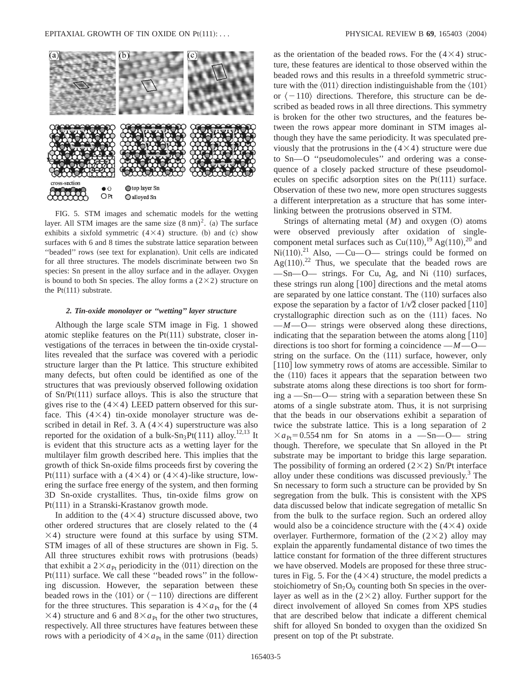

FIG. 5. STM images and schematic models for the wetting layer. All STM images are the same size  $(8 \text{ nm})^2$ . (a) The surface exhibits a sixfold symmetric  $(4\times4)$  structure. (b) and (c) show surfaces with 6 and 8 times the substrate lattice separation between "beaded" rows (see text for explanation). Unit cells are indicated for all three structures. The models discriminate between two Sn species: Sn present in the alloy surface and in the adlayer. Oxygen is bound to both Sn species. The alloy forms a  $(2\times2)$  structure on the  $Pt(111)$  substrate.

### *2. Tin-oxide monolayer or ''wetting'' layer structure*

Although the large scale STM image in Fig. 1 showed atomic steplike features on the  $Pt(111)$  substrate, closer investigations of the terraces in between the tin-oxide crystallites revealed that the surface was covered with a periodic structure larger than the Pt lattice. This structure exhibited many defects, but often could be identified as one of the structures that was previously observed following oxidation of  $Sn/Pt(111)$  surface alloys. This is also the structure that gives rise to the  $(4\times4)$  LEED pattern observed for this surface. This  $(4\times4)$  tin-oxide monolayer structure was described in detail in Ref. 3. A  $(4 \times 4)$  superstructure was also reported for the oxidation of a bulk-Sn<sub>3</sub>Pt(111) alloy.<sup>12,13</sup> It is evident that this structure acts as a wetting layer for the multilayer film growth described here. This implies that the growth of thick Sn-oxide films proceeds first by covering the Pt(111) surface with a (4×4) or (4×4)-like structure, lowering the surface free energy of the system, and then forming 3D Sn-oxide crystallites. Thus, tin-oxide films grow on  $Pt(111)$  in a Stranski-Krastanov growth mode.

In addition to the  $(4\times4)$  structure discussed above, two other ordered structures that are closely related to the (4  $\times$ 4) structure were found at this surface by using STM. STM images of all of these structures are shown in Fig. 5. All three structures exhibit rows with protrusions (beads) that exhibit a  $2 \times a_{\text{Pt}}$  periodicity in the  $\langle 011 \rangle$  direction on the  $Pt(111)$  surface. We call these "beaded rows" in the following discussion. However, the separation between these beaded rows in the  $\langle 101 \rangle$  or  $\langle -110 \rangle$  directions are different for the three structures. This separation is  $4 \times a_{\text{Pt}}$  for the (4)  $\times$ 4) structure and 6 and 8 $\times a_{Pt}$  for the other two structures, respectively. All three structures have features between these rows with a periodicity of  $4\times a_{Pt}$  in the same  $\langle 011 \rangle$  direction as the orientation of the beaded rows. For the  $(4\times4)$  structure, these features are identical to those observed within the beaded rows and this results in a threefold symmetric structure with the  $\langle 011 \rangle$  direction indistinguishable from the  $\langle 101 \rangle$ or  $\langle -110 \rangle$  directions. Therefore, this structure can be described as beaded rows in all three directions. This symmetry is broken for the other two structures, and the features between the rows appear more dominant in STM images although they have the same periodicity. It was speculated previously that the protrusions in the  $(4\times4)$  structure were due to  $Sn$ — $O$  "pseudomolecules" and ordering was a consequence of a closely packed structure of these pseudomolecules on specific adsorption sites on the  $Pt(111)$  surface. Observation of these two new, more open structures suggests a different interpretation as a structure that has some interlinking between the protrusions observed in STM.

Strings of alternating metal  $(M)$  and oxygen  $(O)$  atoms were observed previously after oxidation of singlecomponent metal surfaces such as  $Cu(110),^{19} Ag(110),^{20}$  and  $Ni(110).^{21}$  Also,  $-Cu$ —O— strings could be formed on Ag $(110)$ .<sup>22</sup> Thus, we speculate that the beaded rows are  $-Sn-O$  strings. For Cu, Ag, and Ni  $(110)$  surfaces, these strings run along  $[100]$  directions and the metal atoms are separated by one lattice constant. The  $(110)$  surfaces also expose the separation by a factor of  $1/\sqrt{2}$  closer packed [110] crystallographic direction such as on the  $(111)$  faces. No  $-M$ —O— strings were observed along these directions, indicating that the separation between the atoms along  $[110]$ directions is too short for forming a coincidence  $-M$ —O string on the surface. On the  $(111)$  surface, however, only [110] low symmetry rows of atoms are accessible. Similar to the  $(110)$  faces it appears that the separation between two substrate atoms along these directions is too short for forming a  $-Sn$ —O— string with a separation between these Sn atoms of a single substrate atom. Thus, it is not surprising that the beads in our observations exhibit a separation of twice the substrate lattice. This is a long separation of 2  $\times a_{\rm pt} = 0.554$  nm for Sn atoms in a -Sn--O- string though. Therefore, we speculate that Sn alloyed in the Pt substrate may be important to bridge this large separation. The possibility of forming an ordered  $(2\times2)$  Sn/Pt interface alloy under these conditions was discussed previously.<sup>3</sup> The Sn necessary to form such a structure can be provided by Sn segregation from the bulk. This is consistent with the XPS data discussed below that indicate segregation of metallic Sn from the bulk to the surface region. Such an ordered alloy would also be a coincidence structure with the  $(4\times4)$  oxide overlayer. Furthermore, formation of the  $(2\times2)$  alloy may explain the apparently fundamental distance of two times the lattice constant for formation of the three different structures we have observed. Models are proposed for these three structures in Fig. 5. For the  $(4\times4)$  structure, the model predicts a stoichiometry of  $Sn<sub>7</sub>O<sub>9</sub>$  counting both Sn species in the overlayer as well as in the  $(2\times2)$  alloy. Further support for the direct involvement of alloyed Sn comes from XPS studies that are described below that indicate a different chemical shift for alloyed Sn bonded to oxygen than the oxidized Sn present on top of the Pt substrate.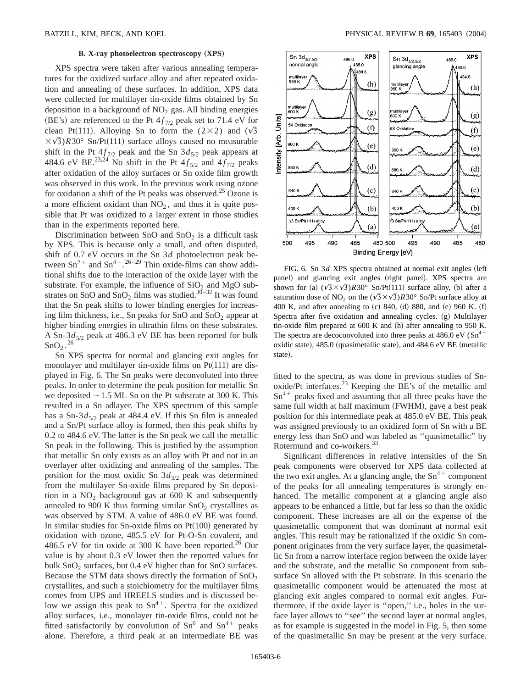### **B. X-ray photoelectron spectroscopy** (XPS)

XPS spectra were taken after various annealing temperatures for the oxidized surface alloy and after repeated oxidation and annealing of these surfaces. In addition, XPS data were collected for multilayer tin-oxide films obtained by Sn deposition in a background of  $NO<sub>2</sub>$  gas. All binding energies (BE's) are referenced to the Pt  $4f_{7/2}$  peak set to 71.4 eV for clean Pt(111). Alloying Sn to form the (2×2) and ( $\sqrt{3}$  $\times\sqrt{3}$ )*R*30° Sn/Pt(111) surface alloys caused no measurable shift in the Pt  $4f_{7/2}$  peak and the Sn  $3d_{5/2}$  peak appears at 484.6 eV BE.<sup>23,24</sup> No shift in the Pt  $4f_{5/2}$  and  $4f_{7/2}$  peaks after oxidation of the alloy surfaces or Sn oxide film growth was observed in this work. In the previous work using ozone for oxidation a shift of the Pt peaks was observed.<sup>25</sup> Ozone is a more efficient oxidant than  $NO<sub>2</sub>$ , and thus it is quite possible that Pt was oxidized to a larger extent in those studies than in the experiments reported here.

Discrimination between SnO and  $SnO<sub>2</sub>$  is a difficult task by XPS. This is because only a small, and often disputed, shift of 0.7 eV occurs in the Sn 3*d* photoelectron peak between  $\text{Sn}^{2+}$  and  $\text{Sn}^{4+}$ . <sup>26-29</sup> Thin oxide-films can show additional shifts due to the interaction of the oxide layer with the substrate. For example, the influence of  $SiO<sub>2</sub>$  and MgO substrates on SnO and  $\rm SnO<sub>2</sub>$  films was studied.<sup>30–32</sup> It was found that the Sn peak shifts to lower binding energies for increasing film thickness, i.e., Sn peaks for SnO and  $SnO<sub>2</sub>$  appear at higher binding energies in ultrathin films on these substrates. A Sn- $3d_{5/2}$  peak at 486.3 eV BE has been reported for bulk  $SnO<sub>2</sub>$ .<sup>26</sup>

Sn XPS spectra for normal and glancing exit angles for monolayer and multilayer tin-oxide films on  $Pt(111)$  are displayed in Fig. 6. The Sn peaks were deconvoluted into three peaks. In order to determine the peak position for metallic Sn we deposited  $\sim$  1.5 ML Sn on the Pt substrate at 300 K. This resulted in a Sn adlayer. The XPS spectrum of this sample has a Sn-3 $d_{5/2}$  peak at 484.4 eV. If this Sn film is annealed and a Sn/Pt surface alloy is formed, then this peak shifts by 0.2 to 484.6 eV. The latter is the Sn peak we call the metallic Sn peak in the following. This is justified by the assumption that metallic Sn only exists as an alloy with Pt and not in an overlayer after oxidizing and annealing of the samples. The position for the most oxidic Sn  $3d_{5/2}$  peak was determined from the multilayer Sn-oxide films prepared by Sn deposition in a  $NO<sub>2</sub>$  background gas at 600 K and subsequently annealed to 900 K thus forming similar  $SnO<sub>2</sub>$  crystallites as was observed by STM. A value of 486.0 eV BE was found. In similar studies for Sn-oxide films on  $Pt(100)$  generated by oxidation with ozone, 485.5 eV for Pt-O-Sn covalent, and 486.5 eV for tin oxide at 300 K have been reported.<sup>26</sup> Our value is by about 0.3 eV lower then the reported values for bulk  $SnO<sub>2</sub>$  surfaces, but 0.4 eV higher than for SnO surfaces. Because the STM data shows directly the formation of  $SnO<sub>2</sub>$ crystallites, and such a stoichiometry for the multilayer films comes from UPS and HREELS studies and is discussed below we assign this peak to  $Sn^{4+}$ . Spectra for the oxidized alloy surfaces, i.e., monolayer tin-oxide films, could not be fitted satisfactorily by convolution of  $Sn^0$  and  $Sn^{4+}$  peaks alone. Therefore, a third peak at an intermediate BE was



FIG. 6. Sn 3d XPS spectra obtained at normal exit angles (left panel) and glancing exit angles (right panel). XPS spectra are shown for (a)  $(\sqrt{3} \times \sqrt{3})R30^\circ$  Sn/Pt(111) surface alloy, (b) after a saturation dose of NO<sub>2</sub> on the  $(\sqrt{3} \times \sqrt{3})$ *R*30° Sn/Pt surface alloy at 400 K, and after annealing to  $(c)$  840,  $(d)$  880, and  $(e)$  960 K.  $(f)$ Spectra after five oxidation and annealing cycles. (g) Multilayer tin-oxide film prepared at  $600$  K and (h) after annealing to 950 K. The spectra are decoconvoluted into three peaks at  $486.0 \text{ eV}$  (Sn<sup>4+</sup>) oxidic state),  $485.0$  (quasimetallic state), and  $484.6$  eV BE (metallic state).

fitted to the spectra, as was done in previous studies of Snoxide/Pt interfaces.<sup>23</sup> Keeping the BE's of the metallic and  $Sn^{4+}$  peaks fixed and assuming that all three peaks have the same full width at half maximum (FWHM), gave a best peak position for this intermediate peak at 485.0 eV BE. This peak was assigned previously to an oxidized form of Sn with a BE energy less than SnO and was labeled as ''quasimetallic'' by Rotermund and co-workers.33

Significant differences in relative intensities of the Sn peak components were observed for XPS data collected at the two exit angles. At a glancing angle, the  $Sn^{4+}$  component of the peaks for all annealing temperatures is strongly enhanced. The metallic component at a glancing angle also appears to be enhanced a little, but far less so than the oxidic component. These increases are all on the expense of the quasimetallic component that was dominant at normal exit angles. This result may be rationalized if the oxidic Sn component originates from the very surface layer, the quasimetallic Sn from a narrow interface region between the oxide layer and the substrate, and the metallic Sn component from subsurface Sn alloyed with the Pt substrate. In this scenario the quasimetallic component would be attenuated the most at glancing exit angles compared to normal exit angles. Furthermore, if the oxide layer is ''open,'' i.e., holes in the surface layer allows to ''see'' the second layer at normal angles, as for example is suggested in the model in Fig. 5, then some of the quasimetallic Sn may be present at the very surface.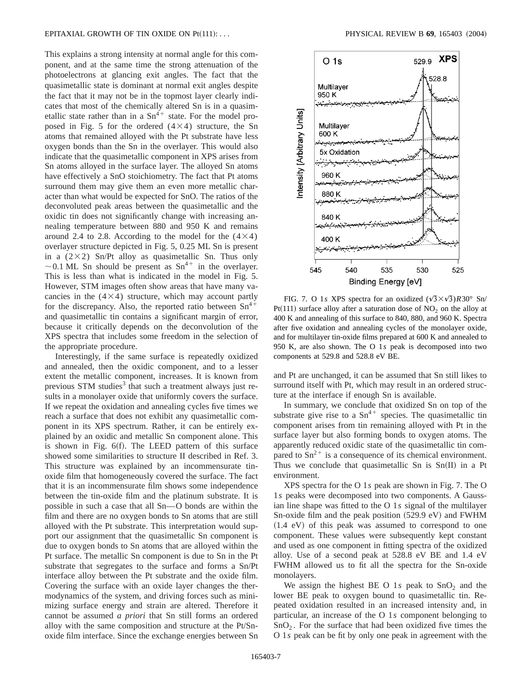This explains a strong intensity at normal angle for this component, and at the same time the strong attenuation of the photoelectrons at glancing exit angles. The fact that the quasimetallic state is dominant at normal exit angles despite the fact that it may not be in the topmost layer clearly indicates that most of the chemically altered Sn is in a quasimetallic state rather than in a  $Sn^{4+}$  state. For the model proposed in Fig. 5 for the ordered  $(4\times4)$  structure, the Sn atoms that remained alloyed with the Pt substrate have less oxygen bonds than the Sn in the overlayer. This would also indicate that the quasimetallic component in XPS arises from Sn atoms alloyed in the surface layer. The alloyed Sn atoms have effectively a SnO stoichiometry. The fact that Pt atoms surround them may give them an even more metallic character than what would be expected for SnO. The ratios of the deconvoluted peak areas between the quasimetallic and the oxidic tin does not significantly change with increasing annealing temperature between 880 and 950 K and remains around 2.4 to 2.8. According to the model for the  $(4\times4)$ overlayer structure depicted in Fig. 5, 0.25 ML Sn is present in a  $(2\times2)$  Sn/Pt alloy as quasimetallic Sn. Thus only  $\sim$  0.1 ML Sn should be present as Sn<sup>4+</sup> in the overlayer. This is less than what is indicated in the model in Fig. 5. However, STM images often show areas that have many vacancies in the  $(4\times4)$  structure, which may account partly for the discrepancy. Also, the reported ratio between  $Sn^{4+}$ and quasimetallic tin contains a significant margin of error, because it critically depends on the deconvolution of the XPS spectra that includes some freedom in the selection of the appropriate procedure.

Interestingly, if the same surface is repeatedly oxidized and annealed, then the oxidic component, and to a lesser extent the metallic component, increases. It is known from previous STM studies<sup>3</sup> that such a treatment always just results in a monolayer oxide that uniformly covers the surface. If we repeat the oxidation and annealing cycles five times we reach a surface that does not exhibit any quasimetallic component in its XPS spectrum. Rather, it can be entirely explained by an oxidic and metallic Sn component alone. This is shown in Fig.  $6(f)$ . The LEED pattern of this surface showed some similarities to structure II described in Ref. 3. This structure was explained by an incommensurate tinoxide film that homogeneously covered the surface. The fact that it is an incommensurate film shows some independence between the tin-oxide film and the platinum substrate. It is possible in such a case that all Sn-O bonds are within the film and there are no oxygen bonds to Sn atoms that are still alloyed with the Pt substrate. This interpretation would support our assignment that the quasimetallic Sn component is due to oxygen bonds to Sn atoms that are alloyed within the Pt surface. The metallic Sn component is due to Sn in the Pt substrate that segregates to the surface and forms a Sn/Pt interface alloy between the Pt substrate and the oxide film. Covering the surface with an oxide layer changes the thermodynamics of the system, and driving forces such as minimizing surface energy and strain are altered. Therefore it cannot be assumed *a priori* that Sn still forms an ordered alloy with the same composition and structure at the Pt/Snoxide film interface. Since the exchange energies between Sn



FIG. 7. O 1*s* XPS spectra for an oxidized  $(\sqrt{3} \times \sqrt{3})R30^{\circ}$  Sn/ Pt(111) surface alloy after a saturation dose of  $NO<sub>2</sub>$  on the alloy at 400 K and annealing of this surface to 840, 880, and 960 K. Spectra after five oxidation and annealing cycles of the monolayer oxide, and for multilayer tin-oxide films prepared at 600 K and annealed to 950 K, are also shown. The O 1*s* peak is decomposed into two components at 529.8 and 528.8 eV BE.

and Pt are unchanged, it can be assumed that Sn still likes to surround itself with Pt, which may result in an ordered structure at the interface if enough Sn is available.

In summary, we conclude that oxidized Sn on top of the substrate give rise to a  $Sn^{4+}$  species. The quasimetallic tin component arises from tin remaining alloyed with Pt in the surface layer but also forming bonds to oxygen atoms. The apparently reduced oxidic state of the quasimetallic tin compared to  $\text{Sn}^{2+}$  is a consequence of its chemical environment. Thus we conclude that quasimetallic Sn is  $Sn(II)$  in a Pt environment.

XPS spectra for the O 1*s* peak are shown in Fig. 7. The O 1*s* peaks were decomposed into two components. A Gaussian line shape was fitted to the O 1*s* signal of the multilayer Sn-oxide film and the peak position  $(529.9 \text{ eV})$  and FWHM  $(1.4 \text{ eV})$  of this peak was assumed to correspond to one component. These values were subsequently kept constant and used as one component in fitting spectra of the oxidized alloy. Use of a second peak at 528.8 eV BE and 1.4 eV FWHM allowed us to fit all the spectra for the Sn-oxide monolayers.

We assign the highest BE O  $1s$  peak to  $SnO<sub>2</sub>$  and the lower BE peak to oxygen bound to quasimetallic tin. Repeated oxidation resulted in an increased intensity and, in particular, an increase of the O 1*s* component belonging to  $SnO<sub>2</sub>$ . For the surface that had been oxidized five times the O 1*s* peak can be fit by only one peak in agreement with the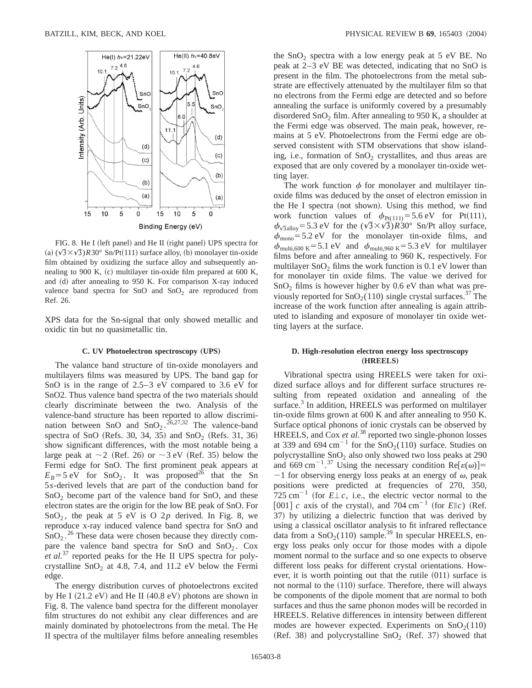

FIG. 8. He I (left panel) and He II (right panel) UPS spectra for (a)  $(\sqrt{3} \times \sqrt{3})R30^\circ$  Sn/Pt(111) surface alloy, (b) monolayer tin-oxide film obtained by oxidizing the surface alloy and subsequently annealing to 900 K,  $(c)$  multilayer tin-oxide film prepared at 600 K, and  $(d)$  after annealing to 950 K. For comparison X-ray induced valence band spectra for SnO and  $SnO<sub>2</sub>$  are reproduced from Ref. 26.

XPS data for the Sn-signal that only showed metallic and oxidic tin but no quasimetallic tin.

#### **C. UV Photoelectron spectroscopy** (UPS)

The valance band structure of tin-oxide monolayers and multilayers films was measured by UPS. The band gap for SnO is in the range of 2.5–3 eV compared to 3.6 eV for SnO2. Thus valence band spectra of the two materials should clearly discriminate between the two. Analysis of the valence-band structure has been reported to allow discrimination between SnO and  $SnO<sub>2</sub>$ .  $^{26,27,32}$  The valence-band spectra of SnO  $(Refs. 30, 34, 35)$  and SnO<sub>2</sub>  $(Refs. 31, 36)$ show significant differences, with the most notable being a large peak at  $\sim$  2 (Ref. 26) or  $\sim$  3 eV (Ref. 35) below the Fermi edge for SnO. The first prominent peak appears at  $E_B$ =5 eV for SnO<sub>2</sub>. It was proposed<sup>26</sup> that the Sn 5*s*-derived levels that are part of the conduction band for  $SnO<sub>2</sub>$  become part of the valence band for SnO, and these electron states are the origin for the low BE peak of SnO. For SnO<sub>2</sub>, the peak at 5 eV is O  $2p$  derived. In Fig. 8, we reproduce x-ray induced valence band spectra for SnO and  $\text{SnO}_2$ .<sup>26</sup> These data were chosen because they directly compare the valence band spectra for SnO and  $SnO<sub>2</sub>$ . Cox *et al.*<sup>37</sup> reported peaks for the He II UPS spectra for polycrystalline  $SnO<sub>2</sub>$  at 4.8, 7.4, and 11.2 eV below the Fermi edge.

The energy distribution curves of photoelectrons excited by He I  $(21.2 \text{ eV})$  and He II  $(40.8 \text{ eV})$  photons are shown in Fig. 8. The valence band spectra for the different monolayer film structures do not exhibit any clear differences and are mainly dominated by photoelectrons from the metal. The He II spectra of the multilayer films before annealing resembles the  $SnO<sub>2</sub>$  spectra with a low energy peak at 5 eV BE. No peak at 2–3 eV BE was detected, indicating that no SnO is present in the film. The photoelectrons from the metal substrate are effectively attenuated by the multilayer film so that no electrons from the Fermi edge are detected and so before annealing the surface is uniformly covered by a presumably disordered SnO<sub>2</sub> film. After annealing to 950 K, a shoulder at the Fermi edge was observed. The main peak, however, remains at 5 eV. Photoelectrons from the Fermi edge are observed consistent with STM observations that show islanding, i.e., formation of  $SnO<sub>2</sub>$  crystallites, and thus areas are exposed that are only covered by a monolayer tin-oxide wetting layer.

The work function  $\phi$  for monolayer and multilayer tinoxide films was deduced by the onset of electron emission in the He I spectra (not shown). Using this method, we find work function values of  $\phi_{Pt(111)}=5.6 \text{ eV}$  for Pt(111),  $\phi_{\sqrt{3} \text{ alloy}} = 5.3 \text{ eV}$  for the  $(\sqrt{3} \times \sqrt{3})R30^\circ$  Sn/Pt alloy surface,  $\phi_{\rm mono}=5.2$  eV for the monolayer tin-oxide films, and  $\phi_{\text{multi,600 K}} = 5.1 \text{ eV}$  and  $\phi_{\text{multi,960 K}} = 5.3 \text{ eV}$  for multilayer films before and after annealing to 960 K, respectively. For multilayer  $SnO<sub>2</sub>$  films the work function is 0.1 eV lower than for monolayer tin oxide films. The value we derived for SnO<sub>2</sub> films is however higher by  $0.6$  eV than what was previously reported for  $SnO<sub>2</sub>(110)$  single crystal surfaces.<sup>37</sup> The increase of the work function after annealing is again attributed to islanding and exposure of monolayer tin oxide wetting layers at the surface.

### **D. High-resolution electron energy loss spectroscopy** "**HREELS**…

Vibrational spectra using HREELS were taken for oxidized surface alloys and for different surface structures resulting from repeated oxidation and annealing of the surface.<sup>3</sup> In addition, HREELS was performed on multilayer tin-oxide films grown at 600 K and after annealing to 950 K. Surface optical phonons of ionic crystals can be observed by HREELS, and Cox *et al.*<sup>38</sup> reported two single-phonon losses at 339 and 694 cm<sup>-1</sup> for the SnO<sub>2</sub>(110) surface. Studies on polycrystalline SnO<sub>2</sub> also only showed two loss peaks at 290 and 669 cm<sup>-1</sup>.<sup>37</sup> Using the necessary condition Re[ $\varepsilon(\omega)$ ]=  $-1$  for observing energy loss peaks at an energy of  $\omega$ , peak positions were predicted at frequencies of 270, 350, 725 cm<sup>-1</sup> (for  $E \perp c$ , i.e., the electric vector normal to the [001]  $c$  axis of the crystal), and 704 cm<sup>-1</sup> (for  $E||c$ ) (Ref. 37) by utilizing a dielectric function that was derived by using a classical oscillator analysis to fit infrared reflectance data from a  $SnO<sub>2</sub>(110)$  sample.<sup>39</sup> In specular HREELS, energy loss peaks only occur for those modes with a dipole moment normal to the surface and so one expects to observe different loss peaks for different crystal orientations. However, it is worth pointing out that the rutile  $(011)$  surface is not normal to the  $(110)$  surface. Therefore, there will always be components of the dipole moment that are normal to both surfaces and thus the same phonon modes will be recorded in HREELS. Relative differences in intensity between different modes are however expected. Experiments on  $SnO<sub>2</sub>(110)$ (Ref. 38) and polycrystalline  $SnO<sub>2</sub>$  (Ref. 37) showed that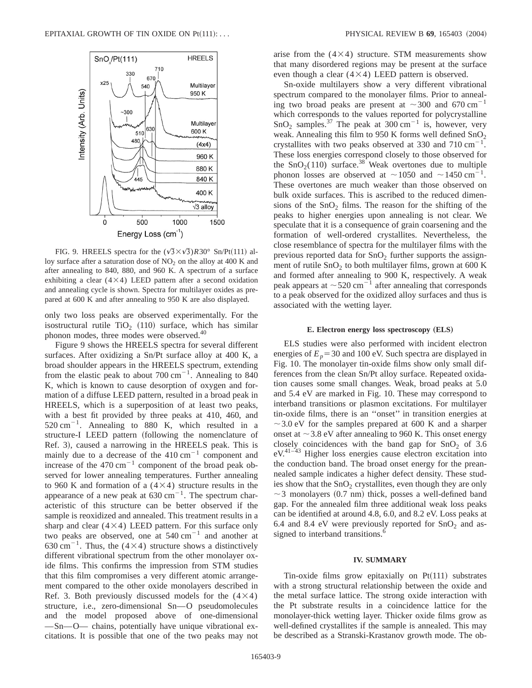

FIG. 9. HREELS spectra for the  $(\sqrt{3}\times\sqrt{3})R30^{\circ}$  Sn/Pt(111) alloy surface after a saturation dose of  $NO<sub>2</sub>$  on the alloy at 400 K and after annealing to 840, 880, and 960 K. A spectrum of a surface exhibiting a clear  $(4\times4)$  LEED pattern after a second oxidation and annealing cycle is shown. Spectra for multilayer oxides as prepared at 600 K and after annealing to 950 K are also displayed.

only two loss peaks are observed experimentally. For the isostructural rutile TiO<sub>2</sub>  $(110)$  surface, which has similar phonon modes, three modes were observed.<sup>40</sup>

Figure 9 shows the HREELS spectra for several different surfaces. After oxidizing a Sn/Pt surface alloy at 400 K, a broad shoulder appears in the HREELS spectrum, extending from the elastic peak to about  $700 \text{ cm}^{-1}$ . Annealing to 840 K, which is known to cause desorption of oxygen and formation of a diffuse LEED pattern, resulted in a broad peak in HREELS, which is a superposition of at least two peaks, with a best fit provided by three peaks at 410, 460, and  $520 \text{ cm}^{-1}$ . Annealing to 880 K, which resulted in a structure-I LEED pattern (following the nomenclature of Ref. 3), caused a narrowing in the HREELS peak. This is mainly due to a decrease of the  $410 \text{ cm}^{-1}$  component and increase of the  $470 \text{ cm}^{-1}$  component of the broad peak observed for lower annealing temperatures. Further annealing to 960 K and formation of a  $(4\times4)$  structure results in the appearance of a new peak at  $630 \text{ cm}^{-1}$ . The spectrum characteristic of this structure can be better observed if the sample is reoxidized and annealed. This treatment results in a sharp and clear  $(4\times4)$  LEED pattern. For this surface only two peaks are observed, one at  $540 \text{ cm}^{-1}$  and another at 630 cm<sup>-1</sup>. Thus, the (4×4) structure shows a distinctively different vibrational spectrum from the other monolayer oxide films. This confirms the impression from STM studies that this film compromises a very different atomic arrangement compared to the other oxide monolayers described in Ref. 3. Both previously discussed models for the  $(4\times4)$ structure, i.e., zero-dimensional Sn-O pseudomolecules and the model proposed above of one-dimensional —Sn—O— chains, potentially have unique vibrational excitations. It is possible that one of the two peaks may not

arise from the  $(4\times4)$  structure. STM measurements show that many disordered regions may be present at the surface even though a clear  $(4\times4)$  LEED pattern is observed.

Sn-oxide multilayers show a very different vibrational spectrum compared to the monolayer films. Prior to annealing two broad peaks are present at  $\sim$  300 and 670 cm<sup>-1</sup> which corresponds to the values reported for polycrystalline  $SnO<sub>2</sub>$  samples.<sup>37</sup> The peak at 300 cm<sup>-1</sup> is, however, very weak. Annealing this film to 950 K forms well defined  $SnO<sub>2</sub>$ crystallites with two peaks observed at 330 and  $710 \text{ cm}^{-1}$ . These loss energies correspond closely to those observed for the  $SnO<sub>2</sub>(110)$  surface.<sup>38</sup> Weak overtones due to multiple phonon losses are observed at  $\sim$  1050 and  $\sim$  1450 cm<sup>-1</sup>. These overtones are much weaker than those observed on bulk oxide surfaces. This is ascribed to the reduced dimensions of the  $SnO<sub>2</sub>$  films. The reason for the shifting of the peaks to higher energies upon annealing is not clear. We speculate that it is a consequence of grain coarsening and the formation of well-ordered crystallites. Nevertheless, the close resemblance of spectra for the multilayer films with the previous reported data for  $SnO<sub>2</sub>$  further supports the assignment of rutile  $SnO<sub>2</sub>$  to both multilayer films, grown at 600 K and formed after annealing to 900 K, respectively. A weak peak appears at  $\sim$  520 cm<sup>-1</sup> after annealing that corresponds to a peak observed for the oxidized alloy surfaces and thus is associated with the wetting layer.

#### **E. Electron energy loss spectroscopy** (**ELS**)

ELS studies were also performed with incident electron energies of  $E_p$ =30 and 100 eV. Such spectra are displayed in Fig. 10. The monolayer tin-oxide films show only small differences from the clean Sn/Pt alloy surface. Repeated oxidation causes some small changes. Weak, broad peaks at 5.0 and 5.4 eV are marked in Fig. 10. These may correspond to interband transitions or plasmon excitations. For multilayer tin-oxide films, there is an ''onset'' in transition energies at  $\sim$ 3.0 eV for the samples prepared at 600 K and a sharper onset at  $\sim$  3.8 eV after annealing to 960 K. This onset energy closely coincidences with the band gap for  $SnO<sub>2</sub>$  of 3.6 eV.41–43 Higher loss energies cause electron excitation into the conduction band. The broad onset energy for the preannealed sample indicates a higher defect density. These studies show that the  $SnO<sub>2</sub>$  crystallites, even though they are only  $\sim$  3 monolayers (0.7 nm) thick, posses a well-defined band gap. For the annealed film three additional weak loss peaks can be identified at around 4.8, 6.0, and 8.2 eV. Loss peaks at 6.4 and 8.4 eV were previously reported for  $SnO<sub>2</sub>$  and assigned to interband transitions.<sup>6</sup>

### **IV. SUMMARY**

Tin-oxide films grow epitaxially on  $Pt(111)$  substrates with a strong structural relationship between the oxide and the metal surface lattice. The strong oxide interaction with the Pt substrate results in a coincidence lattice for the monolayer-thick wetting layer. Thicker oxide films grow as well-defined crystallites if the sample is annealed. This may be described as a Stranski-Krastanov growth mode. The ob-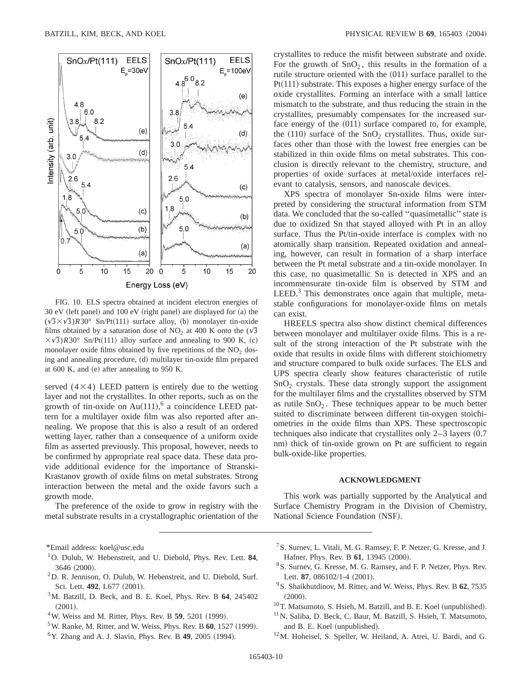

FIG. 10. ELS spectra obtained at incident electron energies of  $30$  eV (left panel) and  $100$  eV (right panel) are displayed for  $(a)$  the  $(\sqrt{3} \times \sqrt{3})$ *R*30° Sn/Pt(111) surface alloy, (b) monolayer tin-oxide films obtained by a saturation dose of NO<sub>2</sub> at 400 K onto the  $(\sqrt{3})$  $(\times \sqrt{3})$ *R*30° Sn/Pt(111) alloy surface and annealing to 900 K, (c) monolayer oxide films obtained by five repetitions of the  $NO<sub>2</sub>$  dosing and annealing procedure, (d) multilayer tin-oxide film prepared at  $600$  K, and (e) after annealing to 950 K.

served  $(4\times4)$  LEED pattern is entirely due to the wetting layer and not the crystallites. In other reports, such as on the growth of tin-oxide on  $Au(111)$ ,  $6$  a coincidence LEED pattern for a multilayer oxide film was also reported after annealing. We propose that this is also a result of an ordered wetting layer, rather than a consequence of a uniform oxide film as asserted previously. This proposal, however, needs to be confirmed by appropriate real space data. These data provide additional evidence for the importance of Stranski-Krastanov growth of oxide films on metal substrates. Strong interaction between the metal and the oxide favors such a growth mode.

The preference of the oxide to grow in registry with the metal substrate results in a crystallographic orientation of the

crystallites to reduce the misfit between substrate and oxide. For the growth of  $SnO<sub>2</sub>$ , this results in the formation of a rutile structure oriented with the  $(011)$  surface parallel to the  $Pt(111)$  substrate. This exposes a higher energy surface of the oxide crystallites. Forming an interface with a small lattice mismatch to the substrate, and thus reducing the strain in the crystallites, presumably compensates for the increased surface energy of the  $(011)$  surface compared to, for example, the  $(110)$  surface of the SnO<sub>2</sub> crystallites. Thus, oxide surfaces other than those with the lowest free energies can be stabilized in thin oxide films on metal substrates. This conclusion is directly relevant to the chemistry, structure, and properties of oxide surfaces at metal/oxide interfaces relevant to catalysis, sensors, and nanoscale devices.

XPS spectra of monolayer Sn-oxide films were interpreted by considering the structural information from STM data. We concluded that the so-called ''quasimetallic'' state is due to oxidized Sn that stayed alloyed with Pt in an alloy surface. Thus the Pt/tin-oxide interface is complex with no atomically sharp transition. Repeated oxidation and annealing, however, can result in formation of a sharp interface between the Pt metal substrate and a tin-oxide monolayer. In this case, no quasimetallic Sn is detected in XPS and an incommensurate tin-oxide film is observed by STM and  $LEED<sup>3</sup>$ . This demonstrates once again that multiple, metastable configurations for monolayer-oxide films on metals can exist.

HREELS spectra also show distinct chemical differences between monolayer and multilayer oxide films. This is a result of the strong interaction of the Pt substrate with the oxide that results in oxide films with different stoichiometry and structure compared to bulk oxide surfaces. The ELS and UPS spectra clearly show features characteristic of rutile  $SnO<sub>2</sub>$  crystals. These data strongly support the assignment for the multilayer films and the crystallites observed by STM as rutile  $SnO<sub>2</sub>$ . These techniques appear to be much better suited to discriminate between different tin-oxygen stoichiometries in the oxide films than XPS. These spectroscopic techniques also indicate that crystallites only  $2-3$  layers  $(0.7)$ nm) thick of tin-oxide grown on Pt are sufficient to regain bulk-oxide-like properties.

#### **ACKNOWLEDGMENT**

This work was partially supported by the Analytical and Surface Chemistry Program in the Division of Chemistry, National Science Foundation (NSF).

\*Email address: koel@usc.edu

- 1O. Dulub, W. Hebenstreit, and U. Diebold, Phys. Rev. Lett. **84**, 3646 (2000).
- 2D. R. Jennison, O. Dulub, W. Hebenstreit, and U. Diebold, Surf. Sci. Lett. 492, L677 (2001).
- 3M. Batzill, D. Beck, and B. E. Koel, Phys. Rev. B **64**, 245402  $(2001).$
- <sup>4</sup>W. Weiss and M. Ritter, Phys. Rev. B **59**, 5201 (1999).
- $5$ W. Ranke, M. Ritter, and W. Weiss, Phys. Rev. B  $60$ , 1527 (1999).
- <sup>6</sup> Y. Zhang and A. J. Slavin, Phys. Rev. B 49, 2005 (1994).
- <sup>7</sup> S. Surnev, L. Vitali, M. G. Ramsey, F. P. Netzer, G. Kresse, and J. Hafner, Phys. Rev. B **61**, 13945 (2000).
- 8S. Surnev, G. Kresse, M. G. Ramsey, and F. P. Netzer, Phys. Rev. Lett. **87**, 086102/1-4 (2001).
- 9S. Shaikhutdinov, M. Ritter, and W. Weiss, Phys. Rev. B **62**, 7535  $(2000).$
- $10$ T. Matsumoto, S. Hsieh, M. Batzill, and B. E. Koel (unpublished).
- <sup>11</sup>N. Saliba, D. Beck, C. Baur, M. Batzill, S. Hsieh, T. Matsumoto, and B. E. Koel (unpublished).
- 12M. Hoheisel, S. Speller, W. Heiland, A. Atrei, U. Bardi, and G.